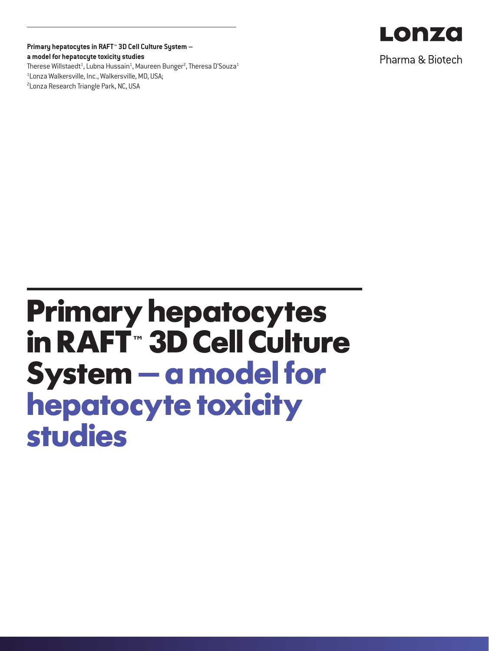**Primary hepatocytes in RAFT™ 3D Cell Culture System – a model for hepatocyte toxicity studies** Therese Willstaedt $^{\rm 1}$ , Lubna Hussain $^{\rm 1}$ , Maureen Bunger $^{\rm 2}$ , Theresa D'Souza $^{\rm 1}$ 1 Lonza Walkersville, Inc., Walkersville, MD, USA; <sup>2</sup> Lonza Research Triangle Park, NC, USA



Pharma & Biotech

# **Primary hepatocytes in RAFT™ 3D Cell Culture System – a model for hepatocyte toxicity studies**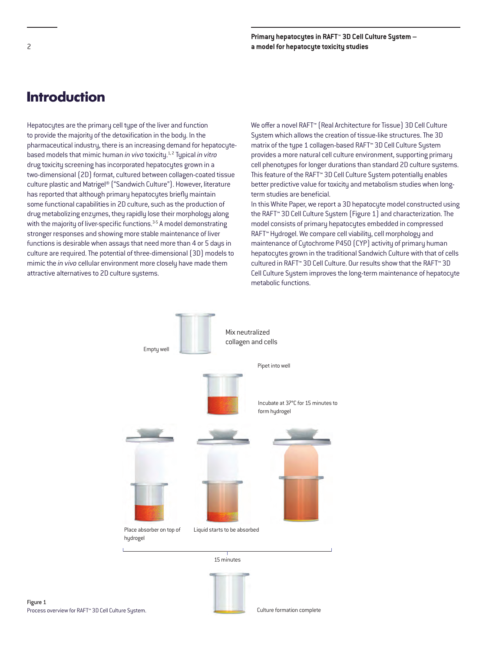# **Introduction**

Hepatocytes are the primary cell type of the liver and function to provide the majority of the detoxification in the body. In the pharmaceutical industry, there is an increasing demand for hepatocytebased models that mimic human *in vivo* toxicity.1, 2 Typical *in vitro* drug toxicity screening has incorporated hepatocytes grown in a two-dimensional (2D) format, cultured between collagen-coated tissue culture plastic and Matrigel® ("Sandwich Culture"). However, literature has reported that although primary hepatocytes briefly maintain some functional capabilities in 2D culture, such as the production of drug metabolizing enzymes, they rapidly lose their morphology along with the majority of liver-specific functions.<sup>3-5</sup> A model demonstrating stronger responses and showing more stable maintenance of liver functions is desirable when assays that need more than 4 or 5 days in culture are required. The potential of three-dimensional (3D) models to mimic the *in vivo* cellular environment more closely have made them attractive alternatives to 2D culture systems.

We offer a novel RAFT™ (Real Architecture for Tissue) 3D Cell Culture System which allows the creation of tissue-like structures. The 3D matrix of the type 1 collagen-based RAFT™ 3D Cell Culture System provides a more natural cell culture environment, supporting primary cell phenotypes for longer durations than standard 2D culture systems. This feature of the RAFT™ 3D Cell Culture System potentially enables better predictive value for toxicity and metabolism studies when longterm studies are beneficial.

In this White Paper, we report a 3D hepatocyte model constructed using the RAFT™ 3D Cell Culture System (Figure 1) and characterization. The model consists of primary hepatocytes embedded in compressed RAFT™ Hydrogel. We compare cell viability, cell morphology and maintenance of Cytochrome P450 (CYP) activity of primary human hepatocytes grown in the traditional Sandwich Culture with that of cells cultured in RAFT™ 3D Cell Culture. Our results show that the RAFT™ 3D Cell Culture System improves the long-term maintenance of hepatocyte metabolic functions.

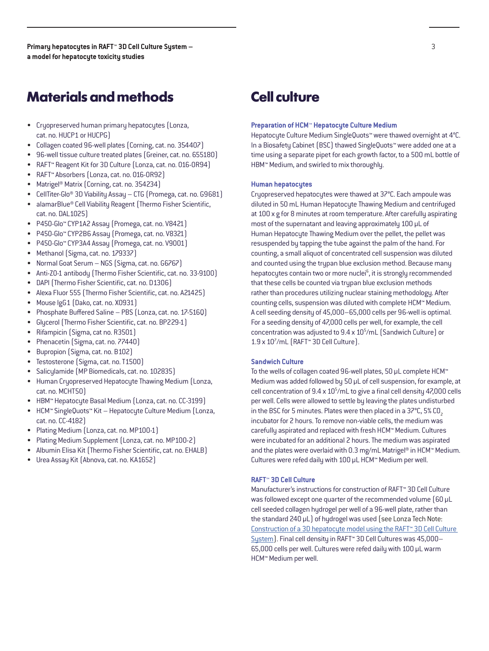# **Materials and methods**

- Cryopreserved human primary hepatocytes (Lonza, cat. no. HUCP1 or HUCPG)
- Collagen coated 96-well plates (Corning, cat. no. 354407)
- 96-well tissue culture treated plates (Greiner, cat. no. 655180)
- RAFT™ Reagent Kit for 3D Culture (Lonza, cat. no. 016-0R94)
- RAFT™ Absorbers (Lonza, cat. no. 016-0R92)
- Matrigel® Matrix (Corning, cat. no. 354234)
- CellTiter-Glo® 3D Viability Assay CTG (Promega, cat. no. G9681)
- alamarBlue® Cell Viability Reagent (Thermo Fisher Scientific, cat. no. DAL1025)
- P450-Glo™ CYP1A2 Assay (Promega, cat. no. V8421)
- P450-Glo™ CYP2B6 Assay (Promega, cat. no. V8321)
- P450-Glo™ CYP3A4 Assay (Promega, cat. no. V9001)
- Methanol (Sigma, cat. no. 179337)
- Normal Goat Serum NGS (Sigma, cat. no. G6767)
- Anti-ZO-1 antibody (Thermo Fisher Scientific, cat. no. 33-9100)
- DAPI (Thermo Fisher Scientific, cat. no. D1306)
- Alexa Fluor 555 (Thermo Fisher Scientific, cat. no. A21425)
- Mouse IgG1 (Dako, cat. no. X0931)
- Phosphate Buffered Saline PBS (Lonza, cat. no. 17-516Q)
- Glycerol (Thermo Fisher Scientific, cat. no. BP229-1)
- Rifampicin (Sigma, cat no. R3501)
- Phenacetin (Sigma, cat. no. 77440)
- Bupropion (Sigma, cat. no. B102)
- Testosterone (Sigma, cat. no. T1500)
- Salicylamide (MP Biomedicals, cat. no. 102835)
- Human Cryopreserved Hepatocyte Thawing Medium (Lonza, cat. no. MCHT50)
- HBM™ Hepatocyte Basal Medium (Lonza, cat. no. CC-3199)
- HCM™ SingleQuots™ Kit Hepatocyte Culture Medium (Lonza, cat. no. CC-4182)
- Plating Medium (Lonza, cat. no. MP100-1)
- Plating Medium Supplement (Lonza, cat. no. MP100-2)
- Albumin Elisa Kit (Thermo Fisher Scientific, cat. no. EHALB)
- Urea Assay Kit (Abnova, cat. no. KA1652)

# **Cell culture**

### **Preparation of HCM™ Hepatocyte Culture Medium**

Hepatocyte Culture Medium SingleQuots™ were thawed overnight at 4°C. In a Biosafety Cabinet (BSC) thawed SingleQuots™ were added one at a time using a separate pipet for each growth factor, to a 500 mL bottle of HBM™ Medium, and swirled to mix thoroughly.

## **Human hepatocytes**

Cryopreserved hepatocytes were thawed at 37°C. Each ampoule was diluted in 50 mL Human Hepatocyte Thawing Medium and centrifuged at 100 x g for 8 minutes at room temperature. After carefully aspirating most of the supernatant and leaving approximately 100 µL of Human Hepatocyte Thawing Medium over the pellet, the pellet was resuspended by tapping the tube against the palm of the hand. For counting, a small aliquot of concentrated cell suspension was diluted and counted using the trypan blue exclusion method. Because many hepatocytes contain two or more nuclei<sup>6</sup>, it is strongly recommended that these cells be counted via trypan blue exclusion methods rather than procedures utilizing nuclear staining methodology. After counting cells, suspension was diluted with complete HCM™ Medium. A cell seeding density of 45,000–65,000 cells per 96-well is optimal. For a seeding density of 47,000 cells per well, for example, the cell concentration was adjusted to  $9.4 \times 10^5$ /mL (Sandwich Culture) or 1.9 x 107 /mL (RAFT™ 3D Cell Culture).

## **Sandwich Culture**

To the wells of collagen coated 96-well plates, 50 µL complete HCM™ Medium was added followed by 50 µL of cell suspension, for example, at cell concentration of 9.4 x 10<sup>5</sup>/mL to give a final cell density 47,000 cells per well. Cells were allowed to settle by leaving the plates undisturbed in the BSC for 5 minutes. Plates were then placed in a  $37^{\circ}$ C, 5% CO<sub>2</sub> incubator for 2 hours. To remove non-viable cells, the medium was carefully aspirated and replaced with fresh HCM™ Medium. Cultures were incubated for an additional 2 hours. The medium was aspirated and the plates were overlaid with 0.3 mg/mL Matrigel® in HCM™ Medium. Cultures were refed daily with 100 µL HCM™ Medium per well.

# **RAFT™ 3D Cell Culture**

Manufacturer's instructions for construction of RAFT™ 3D Cell Culture was followed except one quarter of the recommended volume (60 µL cell seeded collagen hydrogel per well of a 96-well plate, rather than the standard 240 µL) of hydrogel was used (see Lonza Tech Note: [Construction of a 3D hepatocyte model using the RAFT™ 3D Cell Culture](https://lonza.picturepark.com/Website?Action=downloadAsset&AssetId=34918)  [System](https://lonza.picturepark.com/Website?Action=downloadAsset&AssetId=34918)). Final cell density in RAFT™ 3D Cell Cultures was 45,000– 65,000 cells per well. Cultures were refed daily with 100 µL warm HCM™ Medium per well.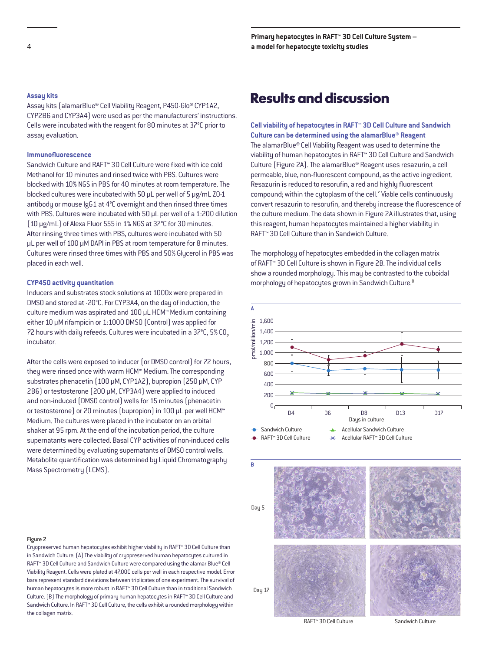## **Assay kits**

Assay kits (alamarBlue® Cell Viability Reagent, P450-Glo® CYP1A2, CYP2B6 and CYP3A4) were used as per the manufacturers' instructions. Cells were incubated with the reagent for 80 minutes at 37°C prior to assay evaluation.

## **Immunofluorescence**

Sandwich Culture and RAFT™ 3D Cell Culture were fixed with ice cold Methanol for 10 minutes and rinsed twice with PBS. Cultures were blocked with 10% NGS in PBS for 40 minutes at room temperature. The blocked cultures were incubated with 50 µL per well of 5 µg/mL ZO-1 antibody or mouse IgG1 at 4°C overnight and then rinsed three times with PBS. Cultures were incubated with 50 µL per well of a 1:200 dilution (10 µg/mL) of Alexa Fluor 555 in 1% NGS at 37°C for 30 minutes. After rinsing three times with PBS, cultures were incubated with 50 µL per well of 100 µM DAPI in PBS at room temperature for 8 minutes. Cultures were rinsed three times with PBS and 50% Glycerol in PBS was placed in each well.

## **CYP450 activity quantitation**

Inducers and substrates stock solutions at 1000x were prepared in DMSO and stored at -20°C. For CYP3A4, on the day of induction, the culture medium was aspirated and 100 µL HCM™ Medium containing either 10 µM rifampicin or 1:1000 DMSO (Control) was applied for 72 hours with daily refeeds. Cultures were incubated in a 37°C, 5% CO<sub>2</sub> incubator.

After the cells were exposed to inducer (or DMSO control) for 72 hours, they were rinsed once with warm HCM™ Medium. The corresponding substrates phenacetin (100 µM, CYP1A2), bupropion (250 µM, CYP 2B6) or testosterone (200 µM, CYP3A4) were applied to induced and non-induced (DMSO control) wells for 15 minutes (phenacetin or testosterone) or 20 minutes (bupropion) in 100 µL per well HCM™ Medium. The cultures were placed in the incubator on an orbital shaker at 95 rpm. At the end of the incubation period, the culture supernatants were collected. Basal CYP activities of non-induced cells were determined by evaluating supernatants of DMSO control wells. Metabolite quantification was determined by Liquid Chromatography Mass Spectrometry (LCMS).

#### Figure 2

Cryopreserved human hepatocytes exhibit higher viability in RAFT™ 3D Cell Culture than in Sandwich Culture. (A) The viability of cryopreserved human hepatocytes cultured in RAFT™ 3D Cell Culture and Sandwich Culture were compared using the alamar Blue® Cell Viability Reagent. Cells were plated at 47,000 cells per well in each respective model. Error bars represent standard deviations between triplicates of one experiment. The survival of human hepatocytes is more robust in RAFT™ 3D Cell Culture than in traditional Sandwich Culture. (B) The morphology of primary human hepatocytes in RAFT™ 3D Cell Culture and Sandwich Culture. In RAFT™ 3D Cell Culture, the cells exhibit a rounded morphology within the collagen matrix.

# **Results and discussion**

**Cell viability of hepatocytes in RAFT™ 3D Cell Culture and Sandwich Culture can be determined using the alamarBlue® Reagent** The alamarBlue® Cell Viability Reagent was used to determine the viability of human hepatocytes in RAFT™ 3D Cell Culture and Sandwich Culture (Figure 2A). The alamarBlue® Reagent uses resazurin, a cell permeable, blue, non-fluorescent compound, as the active ingredient. Resazurin is reduced to resorufin, a red and highly fluorescent compound; within the cytoplasm of the cell.<sup>7</sup> Viable cells continuously convert resazurin to resorufin, and thereby increase the fluorescence of the culture medium. The data shown in Figure 2A illustrates that, using this reagent, human hepatocytes maintained a higher viability in RAFT™ 3D Cell Culture than in Sandwich Culture.

The morphology of hepatocytes embedded in the collagen matrix of RAFT™ 3D Cell Culture is shown in Figure 2B. The individual cells show a rounded morphology. This may be contrasted to the cuboidal morphology of hepatocytes grown in Sandwich Culture.<sup>8</sup>



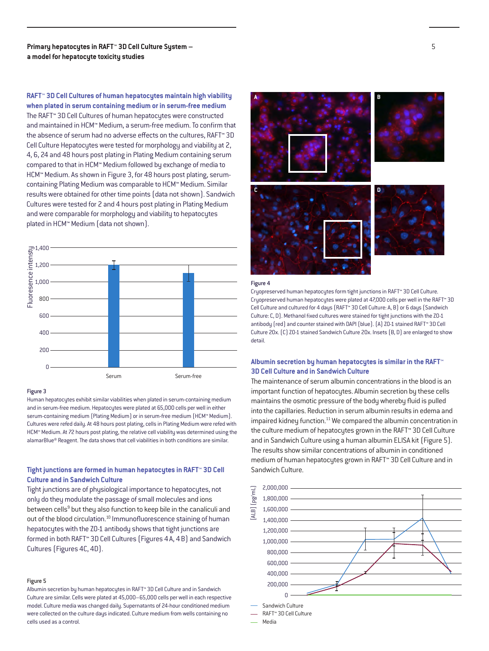**RAFT™ 3D Cell Cultures of human hepatocytes maintain high viability when plated in serum containing medium or in serum-free medium** The RAFT™ 3D Cell Cultures of human hepatocytes were constructed and maintained in HCM™ Medium, a serum-free medium. To confirm that the absence of serum had no adverse effects on the cultures, RAFT™ 3D Cell Culture Hepatocytes were tested for morphology and viability at 2, 4, 6, 24 and 48 hours post plating in Plating Medium containing serum compared to that in HCM™ Medium followed by exchange of media to HCM™ Medium. As shown in Figure 3, for 48 hours post plating, serumcontaining Plating Medium was comparable to HCM™ Medium. Similar results were obtained for other time points (data not shown). Sandwich Cultures were tested for 2 and 4 hours post plating in Plating Medium and were comparable for morphology and viability to hepatocytes plated in HCM™ Medium (data not shown).



#### Figure 3

Human hepatocytes exhibit similar viabilities when plated in serum-containing medium and in serum-free medium. Hepatocytes were plated at 65,000 cells per well in either serum-containing medium (Plating Medium) or in serum-free medium (HCM™ Medium). Cultures were refed daily. At 48 hours post plating, cells in Plating Medium were refed with HCM™ Medium. At 72 hours post plating, the relative cell viability was determined using the alamarBlue® Reagent. The data shows that cell viabilities in both conditions are similar.

# **Tight junctions are formed in human hepatocytes in RAFT™ 3D Cell Culture and in Sandwich Culture**

Tight junctions are of physiological importance to hepatocytes, not only do they modulate the passage of small molecules and ions between cells<sup>9</sup> but they also function to keep bile in the canaliculi and out of the blood circulation.<sup>10</sup> Immunofluorescence staining of human hepatocytes with the ZO-1 antibody shows that tight junctions are formed in both RAFT™ 3D Cell Cultures (Figures 4A, 4B) and Sandwich Cultures (Figures 4C, 4D).

## Figure 5

Albumin secretion by human hepatocytes in RAFT™ 3D Cell Culture and in Sandwich Culture are similar. Cells were plated at 45,000–65,000 cells per well in each respective model. Culture media was changed daily. Supernatants of 24-hour conditioned medium were collected on the culture days indicated. Culture medium from wells containing no cells used as a control.



#### Figure 4

Cryopreserved human hepatocytes form tight junctions in RAFT™ 3D Cell Culture. Cryopreserved human hepatocytes were plated at 47,000 cells per well in the RAFT™ 3D Cell Culture and cultured for 4 days (RAFT™ 3D Cell Culture: A, B) or 6 days (Sandwich Culture: C, D). Methanol fixed cultures were stained for tight junctions with the ZO-1 antibody (red) and counter stained with DAPI (blue). (A) ZO-1 stained RAFT™ 3D Cell Culture 20x. (C) ZO-1 stained Sandwich Culture 20x. Insets (B, D) are enlarged to show detail.

# **3D Cell Culture and in Sandwich Culture**

The maintenance of serum albumin concentrations in the blood is an important function of hepatocytes. Albumin secretion by these cells maintains the osmotic pressure of the body whereby fluid is pulled into the capillaries. Reduction in serum albumin results in edema and impaired kidney function.<sup>11</sup> We compared the albumin concentration in the culture medium of hepatocytes grown in the RAFT™ 3D Cell Culture and in Sandwich Culture using a human albumin ELISA kit (Figure 5). The results show similar concentrations of albumin in conditioned medium of human hepatocytes grown in RAFT™ 3D Cell Culture and in Sandwich Culture.



Media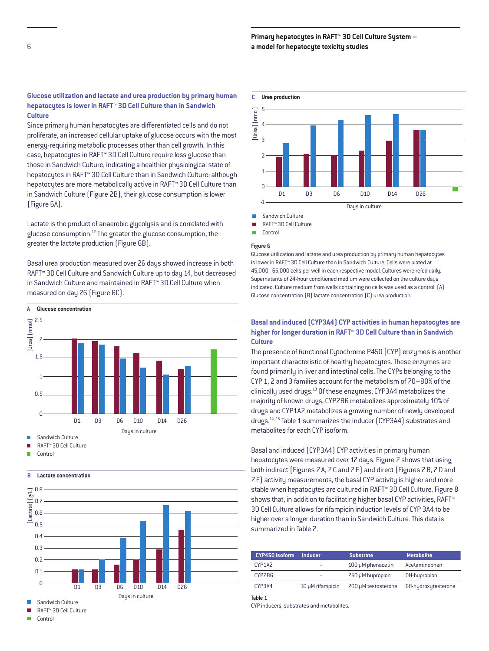# **Glucose utilization and lactate and urea production by primary human hepatocytes is lower in RAFT™ 3D Cell Culture than in Sandwich Culture**

Since primary human hepatocytes are differentiated cells and do not proliferate, an increased cellular uptake of glucose occurs with the most energy-requiring metabolic processes other than cell growth. In this case, hepatocytes in RAFT™ 3D Cell Culture require less glucose than those in Sandwich Culture, indicating a healthier physiological state of hepatocytes in RAFT™ 3D Cell Culture than in Sandwich Culture: although hepatocytes are more metabolically active in RAFT™ 3D Cell Culture than in Sandwich Culture (Figure 2B), their glucose consumption is lower (Figure 6A).

Lactate is the product of anaerobic glycolysis and is correlated with glucose consumption.12 The greater the glucose consumption, the greater the lactate production (Figure 6B).

Basal urea production measured over 26 days showed increase in both RAFT™ 3D Cell Culture and Sandwich Culture up to day 14, but decreased in Sandwich Culture and maintained in RAFT™ 3D Cell Culture when measured on day 26 (Figure 6C).



RAFT™ 3D Cell Culture

- 
- Ē **Control**

## **B Lactate concentration**



RAFT™ 3D Cell Culture



Sandwich Culture

Ē RAFT™ 3D Cell Culture

Control

#### Figure 6

Glucose utilization and lactate and urea production by primary human hepatocytes is lower in RAFT™ 3D Cell Culture than in Sandwich Culture. Cells were plated at 45,000–65,000 cells per well in each respective model. Cultures were refed daily. Supernatants of 24-hour conditioned medium were collected on the culture days indicated. Culture medium from wells containing no cells was used as a control. (A) Glucose concentration (B) lactate concentration (C) urea production.

# **Basal and induced (CYP3A4) CYP activities in human hepatocytes are higher for longer duration in RAFT™ 3D Cell Culture than in Sandwich Culture**

The presence of functional Cytochrome P450 (CYP) enzymes is another important characteristic of healthy hepatocytes. These enzymes are found primarily in liver and intestinal cells. The CYPs belonging to the CYP 1, 2 and 3 families account for the metabolism of 70–80% of the clinically used drugs.13 Of these enzymes, CYP3A4 metabolizes the majority of known drugs, CYP2B6 metabolizes approximately 10% of drugs and CYP1A2 metabolizes a growing number of newly developed drugs.14, 15 Table 1 summarizes the inducer (CYP3A4) substrates and metabolites for each CYP isoform.

Basal and induced (CYP3A4) CYP activities in primary human hepatocytes were measured over 17 days. Figure 7 shows that using both indirect (Figures 7A, 7C and 7E) and direct (Figures 7B, 7D and 7F) activity measurements, the basal CYP activity is higher and more stable when hepatocytes are cultured in RAFT™ 3D Cell Culture. Figure 8 shows that, in addition to facilitating higher basal CYP activities, RAFT™ 3D Cell Culture allows for rifampicin induction levels of CYP 3A4 to be higher over a longer duration than in Sandwich Culture. This data is summarized in Table 2.

| <b>CYP450 Isoform</b> | <b>Inducer</b>   | <b>Substrate</b>    | <b>Metabolite</b>   |
|-----------------------|------------------|---------------------|---------------------|
| CYP1A2                |                  | 100 µM phenacetin   | Acetaminophen       |
| CYP2B6                |                  | 250 µM bupropion    | OH-bupropion        |
| CYP3A4                | 10 µM rifampicin | 200 µM testosterone | 6ß-hydroxytesterone |
| Table 1               |                  |                     |                     |

CYP inducers, substrates and metabolites.

r Control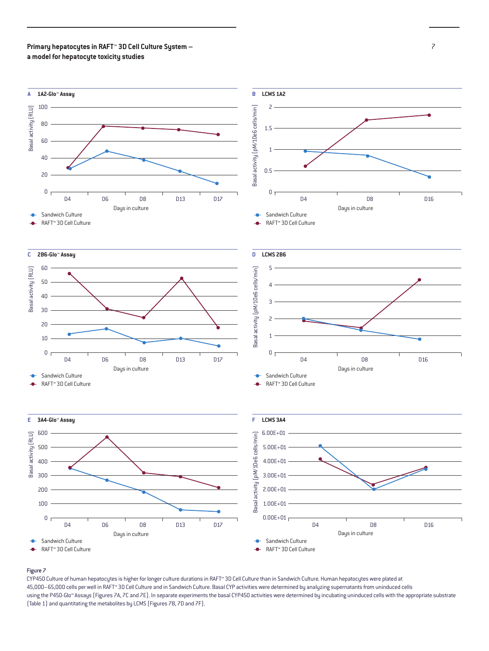

## Figure 7

CYP450 Culture of human hepatocytes is higher for longer culture durations in RAFT™ 3D Cell Culture than in Sandwich Culture. Human hepatocytes were plated at 45,000–65,000 cells per well in RAFT™ 3D Cell Culture and in Sandwich Culture. Basal CYP activities were determined by analyzing supernatants from uninduced cells using the P450-Glo™ Assays (Figures 7A, 7C and 7E). In separate experiments the basal CYP450 activities were determined by incubating uninduced cells with the appropriate substrate (Table 1) and quantitating the metabolites by LCMS (Figures 7B, 7D and 7F).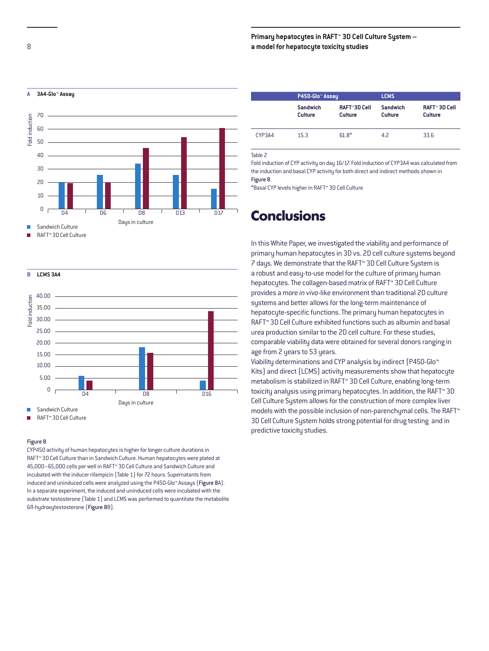

RAFT™ 3D Cell Culture

**B LCMS 3A4**



RAFT™ 3D Cell Culture

#### Figure 8

CYP450 activity of human hepatocytes is higher for longer culture durations in RAFT™ 3D Cell Culture than in Sandwich Culture. Human hepatocytes were plated at 45,000–65,000 cells per well in RAFT™ 3D Cell Culture and Sandwich Culture and incubated with the inducer rifampicin (Table 1) for 72 hours. Supernatants from induced and uninduced cells were analyzed using the P450-Glo™ Assays (Figure 8A). In a separate experiment, the induced and uninduced cells were incubated with the substrate testosterone (Table 1) and LCMS was performed to quantitate the metabolite 6ß-hydroxytestosterone (Figure 8B).

|        | P450-Glo <sup>™</sup> Assay       |                                       | <b>LCMS</b>                |                                        |
|--------|-----------------------------------|---------------------------------------|----------------------------|----------------------------------------|
|        | <b>Sandwich</b><br><b>Culture</b> | <b>RAFT™3D Cell</b><br><b>Culture</b> | Sandwich<br><b>Culture</b> | <b>RAFT™ 3D Cell</b><br><b>Culture</b> |
| CYP3A4 | 15.3                              | $61.8*$                               | 4.2                        | 33.6                                   |

Table 2

Fold induction of CYP activity on day 16/17. Fold induction of CYP3A4 was calculated from the induction and basal CYP activity for both direct and indirect methods shown in Figure 8.

\*Basal CYP levels higher in RAFT™ 3D Cell Culture

# **Conclusions**

In this White Paper, we investigated the viability and performance of primary human hepatocytes in 3D vs. 2D cell culture systems beyond 7 days. We demonstrate that the RAFT™ 3D Cell Culture System is a robust and easy-to-use model for the culture of primary human hepatocytes. The collagen-based matrix of RAFT™ 3D Cell Culture provides a more *in vivo*-like environment than traditional 2D culture systems and better allows for the long-term maintenance of hepatocyte-specific functions. The primary human hepatocytes in RAFT™ 3D Cell Culture exhibited functions such as albumin and basal urea production similar to the 2D cell culture. For these studies, comparable viability data were obtained for several donors ranging in age from 2 years to 53 years.

Viability determinations and CYP analysis by indirect (P450-Glo™ Kits) and direct (LCMS) activity measurements show that hepatocyte metabolism is stabilized in RAFT™ 3D Cell Culture, enabling long-term toxicity analysis using primary hepatocytes. In addition, the RAFT™ 3D Cell Culture System allows for the construction of more complex liver models with the possible inclusion of non-parenchymal cells. The RAFT™ 3D Cell Culture System holds strong potential for drug testing and in predictive toxicity studies.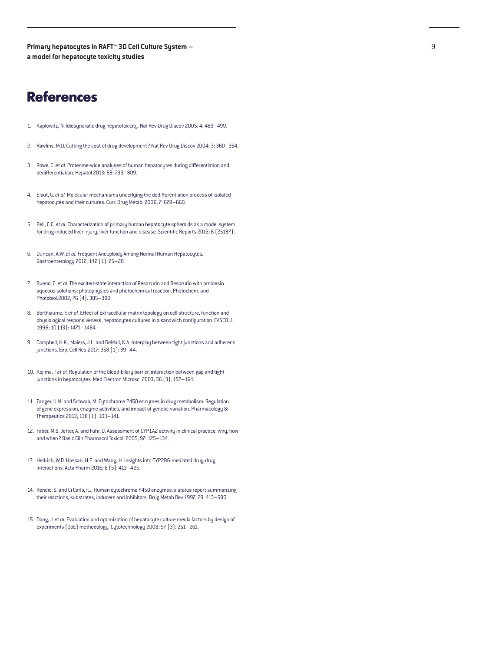# **References**

- 1. Kaplowitz, N. Idiosyncratic drug hepatotoxicity. Nat Rev Drug Discov 2005: 4; 489–499.
- 2. Rawlins, M.D. Cutting the cost of drug development? Nat Rev Drug Discov 2004: 3; 360–364.
- 3. Rowe, C. *et al.* Proteome-wide analyses of human hepatocytes during differentiation and dedifferentiation. Hepatol 2013; 58: 799–809.
- 4. Elaut, G. *et al.* Molecular mechanisms underlying the dedifferentiation process of isolated hepatocytes and their cultures. Curr. Drug Metab. 2006; 7: 629–660.
- 5. Bell, C.C. *et al.* Characterization of primary human hepatocyte spheroids as a model system for drug-induced liver injury, liver function and disease. Scientific Reports 2016; 6 (25187).
- 6. Duncan, A.W. *et al.* Frequent Aneuploidy Among Normal Human Hepatocytes. Gastroenterology 2012; 142 (1): 25–28.
- 7. Bueno, C. *et al.* The excited-state interaction of Resazurin and Resorufin with aminesin aqueous solutions: photophysics and photochemical reaction. Photochem. and Photobiol.2002; 76 (4): 385–390.
- 8. Berthiaume, F. *et al.* Effect of extracellular matrix topology on cell structure, function and physiological responsiveness: hepatocytes cultured in a sandwich configuration. FASEB J. 1996; 10 (13): 1471–1484.
- 9. Campbell, H.K., Maiers, J.L. and DeMali, K.A. Interplay between tight junctions and adherens junctions. Exp. Cell Res.2017; 358 (1): 39–44.
- 10. Kojima, T *et al.* Regulation of the blood-bilary barrier: interaction between gap and tight junctions in hepatocytes. Med Electron Microsc. 2003; 36 (3): 157–164.
- 11. Zanger, U.M. and Schwab, M. Cytochrome P450 enzymes in drug metabolism: Regulation of gene expression, enzyme activities, and impact of genetic variation. Pharmacology & Therapeutics 2013; 138 (1): 103–141.
- 12. Faber, M.S. Jetter, A. and Fuhr, U. Assessment of CYP1A2 activity in clinical practice: why, how and when? Basic Clin Pharmacol Toxicol. 2005; 97: 125–134.
- 13. Hedrich, W.D. Hassan, H.E. and Wang, H. Insights into CYP2B6-mediated drug-drug interactions. Acta Pharm 2016; 6 (5): 413–425.
- 14. Rendic, S. and Ci Carlo, F.J. Human cytochrome P450 enzymes: a status report summarizing their reactions, substrates, inducers and inhibitors. Drug Metab Rev 1997; 29: 413–580.
- 15. Dong, J. *et al.* Evaluation and optimization of hepatocyte culture media factors by design of experiments (DoE) methodology. Cytotechnology 2008; 57 (3): 251–261.